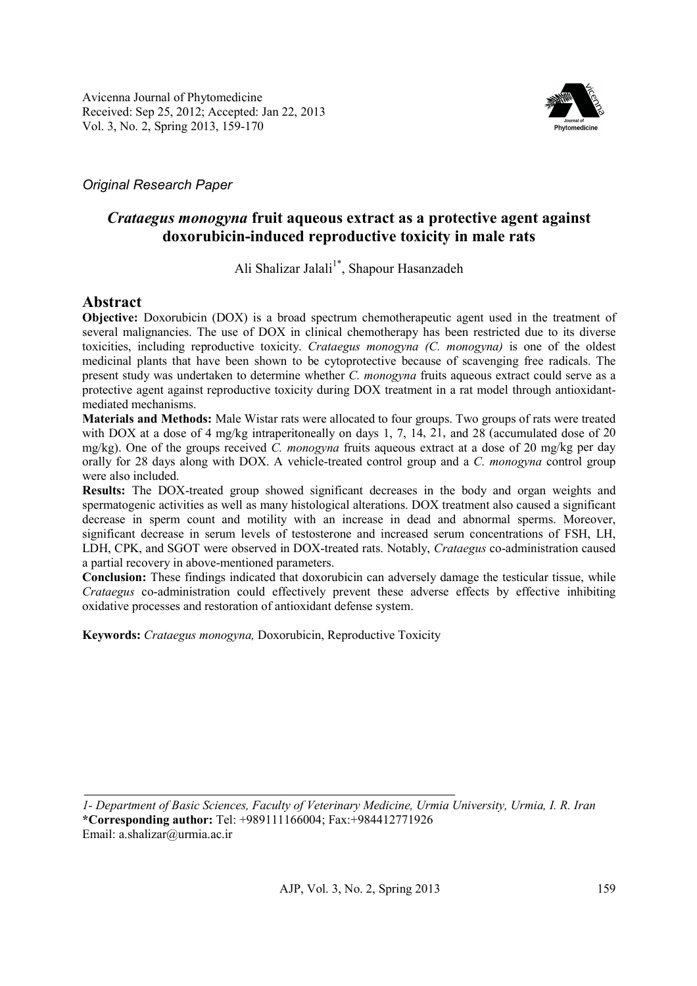

# *Original Research Paper*

# *Crataegus monogyna* **fruit aqueous extract as a protective agent against doxorubicin-induced reproductive toxicity in male rats**

Ali Shalizar Jalali<sup>1\*</sup>, Shapour Hasanzadeh

# **Abstract**

**Objective:** Doxorubicin (DOX) is a broad spectrum chemotherapeutic agent used in the treatment of several malignancies. The use of DOX in clinical chemotherapy has been restricted due to its diverse toxicities, including reproductive toxicity. *Crataegus monogyna (C. monogyna)* is one of the oldest medicinal plants that have been shown to be cytoprotective because of scavenging free radicals. The present study was undertaken to determine whether *C. monogyna* fruits aqueous extract could serve as a protective agent against reproductive toxicity during DOX treatment in a rat model through antioxidantmediated mechanisms.

**Materials and Methods:** Male Wistar rats were allocated to four groups. Two groups of rats were treated with DOX at a dose of 4 mg/kg intraperitoneally on days 1, 7, 14, 21, and 28 (accumulated dose of 20 mg/kg). One of the groups received *C. monogyna* fruits aqueous extract at a dose of 20 mg/kg per day orally for 28 days along with DOX. A vehicle-treated control group and a *C. monogyna* control group were also included.

**Results:** The DOX-treated group showed significant decreases in the body and organ weights and spermatogenic activities as well as many histological alterations. DOX treatment also caused a significant decrease in sperm count and motility with an increase in dead and abnormal sperms. Moreover, significant decrease in serum levels of testosterone and increased serum concentrations of FSH, LH, LDH, CPK, and SGOT were observed in DOX-treated rats. Notably, *Crataegus* co-administration caused a partial recovery in above-mentioned parameters.

**Conclusion:** These findings indicated that doxorubicin can adversely damage the testicular tissue, while *Crataegus* co-administration could effectively prevent these adverse effects by effective inhibiting oxidative processes and restoration of antioxidant defense system.

**Keywords:** *Crataegus monogyna,* Doxorubicin, Reproductive Toxicity

*1- Department of Basic Sciences, Faculty of Veterinary Medicine, Urmia University, Urmia, I. R. Iran*  **\*Corresponding author:** Tel: +989111166004; Fax:+984412771926 Email: a.shalizar@urmia.ac.ir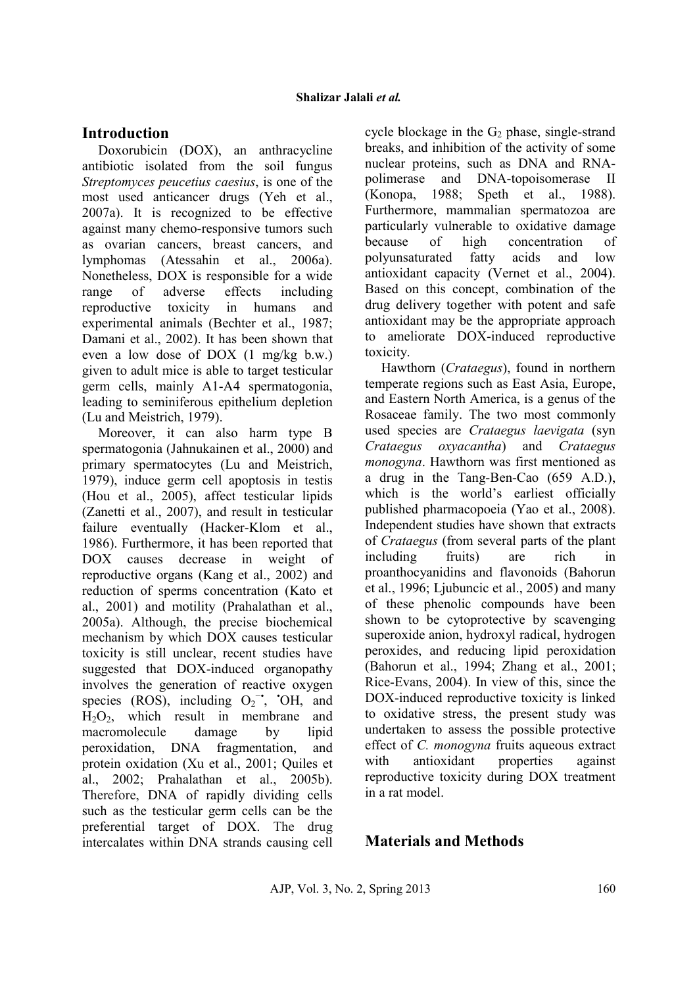# **Introduction**

Doxorubicin (DOX), an anthracycline antibiotic isolated from the soil fungus *Streptomyces peucetius caesius*, is one of the most used anticancer drugs (Yeh et al., 2007a). It is recognized to be effective against many chemo-responsive tumors such as ovarian cancers, breast cancers, and lymphomas (Atessahin et al., 2006a). Nonetheless, DOX is responsible for a wide range of adverse effects including reproductive toxicity in humans and experimental animals (Bechter et al., 1987; Damani et al., 2002). It has been shown that even a low dose of DOX (1 mg/kg b.w.) given to adult mice is able to target testicular germ cells, mainly A1-A4 spermatogonia, leading to seminiferous epithelium depletion (Lu and Meistrich, 1979).

Moreover, it can also harm type B spermatogonia (Jahnukainen et al., 2000) and primary spermatocytes (Lu and Meistrich, 1979), induce germ cell apoptosis in testis (Hou et al., 2005), affect testicular lipids (Zanetti et al., 2007), and result in testicular failure eventually (Hacker-Klom et al., 1986). Furthermore, it has been reported that DOX causes decrease in weight of reproductive organs (Kang et al., 2002) and reduction of sperms concentration (Kato et al., 2001) and motility (Prahalathan et al., 2005a). Although, the precise biochemical mechanism by which DOX causes testicular toxicity is still unclear, recent studies have suggested that DOX-induced organopathy involves the generation of reactive oxygen species (ROS), including  $O_2^-$ , 'OH, and  $H<sub>2</sub>O<sub>2</sub>$ , which result in membrane and macromolecule damage by lipid peroxidation, DNA fragmentation, and protein oxidation (Xu et al., 2001; Quiles et al., 2002; Prahalathan et al., 2005b). Therefore, DNA of rapidly dividing cells such as the testicular germ cells can be the preferential target of DOX. The drug intercalates within DNA strands causing cell cycle blockage in the  $G_2$  phase, single-strand breaks, and inhibition of the activity of some nuclear proteins, such as DNA and RNApolimerase and DNA-topoisomerase II (Konopa, 1988; Speth et al., 1988). Furthermore, mammalian spermatozoa are particularly vulnerable to oxidative damage because of high concentration of polyunsaturated fatty acids and low antioxidant capacity (Vernet et al., 2004). Based on this concept, combination of the drug delivery together with potent and safe antioxidant may be the appropriate approach to ameliorate DOX-induced reproductive toxicity.

Hawthorn (*Crataegus*), found in northern temperate regions such as East Asia, Europe, and Eastern North America, is a genus of the Rosaceae family. The two most commonly used species are *Crataegus laevigata* (syn *Crataegus oxyacantha*) and *Crataegus monogyna*. Hawthorn was first mentioned as a drug in the Tang-Ben-Cao (659 A.D.), which is the world's earliest officially published pharmacopoeia (Yao et al., 2008). Independent studies have shown that extracts of *Crataegus* (from several parts of the plant including fruits) are rich in proanthocyanidins and flavonoids (Bahorun et al., 1996; Ljubuncic et al., 2005) and many of these phenolic compounds have been shown to be cytoprotective by scavenging superoxide anion, hydroxyl radical, hydrogen peroxides, and reducing lipid peroxidation (Bahorun et al., 1994; Zhang et al., 2001; Rice-Evans, 2004). In view of this, since the DOX-induced reproductive toxicity is linked to oxidative stress, the present study was undertaken to assess the possible protective effect of *C. monogyna* fruits aqueous extract with antioxidant properties against reproductive toxicity during DOX treatment in a rat model.

# **Materials and Methods**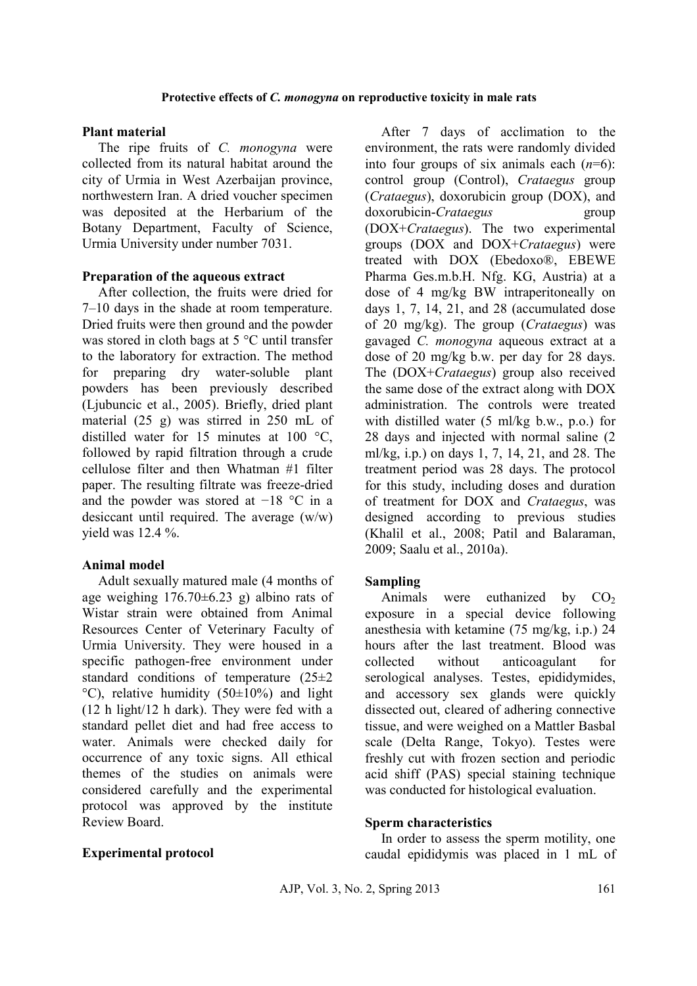### **Protective effects of** *C. monogyna* **on reproductive toxicity in male rats**

## **Plant material**

The ripe fruits of *C. monogyna* were collected from its natural habitat around the city of Urmia in West Azerbaijan province, northwestern Iran. A dried voucher specimen was deposited at the Herbarium of the Botany Department, Faculty of Science, Urmia University under number 7031.

## **Preparation of the aqueous extract**

After collection, the fruits were dried for 7–10 days in the shade at room temperature. Dried fruits were then ground and the powder was stored in cloth bags at 5 °C until transfer to the laboratory for extraction. The method for preparing dry water-soluble plant powders has been previously described (Ljubuncic et al., 2005). Briefly, dried plant material (25 g) was stirred in 250 mL of distilled water for 15 minutes at 100 °C, followed by rapid filtration through a crude cellulose filter and then Whatman #1 filter paper. The resulting filtrate was freeze-dried and the powder was stored at −18 °C in a desiccant until required. The average (w/w) vield was  $12.4\%$ .

## **Animal model**

Adult sexually matured male (4 months of age weighing  $176.70 \pm 6.23$  g) albino rats of Wistar strain were obtained from Animal Resources Center of Veterinary Faculty of Urmia University. They were housed in a specific pathogen-free environment under standard conditions of temperature (25±2  $°C$ ), relative humidity (50 $\pm$ 10%) and light (12 h light/12 h dark). They were fed with a standard pellet diet and had free access to water. Animals were checked daily for occurrence of any toxic signs. All ethical themes of the studies on animals were considered carefully and the experimental protocol was approved by the institute Review Board.

## **Experimental protocol**

After 7 days of acclimation to the environment, the rats were randomly divided into four groups of six animals each (*n*=6): control group (Control), *Crataegus* group (*Crataegus*), doxorubicin group (DOX), and doxorubicin-*Crataegus* group (DOX+*Crataegus*). The two experimental groups (DOX and DOX+*Crataegus*) were treated with DOX (Ebedoxo®, EBEWE Pharma Ges.m.b.H. Nfg. KG, Austria) at a dose of 4 mg/kg BW intraperitoneally on days 1, 7, 14, 21, and 28 (accumulated dose of 20 mg/kg). The group (*Crataegus*) was gavaged *C. monogyna* aqueous extract at a dose of 20 mg/kg b.w. per day for 28 days. The (DOX+*Crataegus*) group also received the same dose of the extract along with DOX administration. The controls were treated with distilled water (5 ml/kg b.w., p.o.) for 28 days and injected with normal saline (2 ml/kg, i.p.) on days 1, 7, 14, 21, and 28. The treatment period was 28 days. The protocol for this study, including doses and duration of treatment for DOX and *Crataegus*, was designed according to previous studies (Khalil et al., 2008; Patil and Balaraman, 2009; Saalu et al., 2010a).

## **Sampling**

Animals were euthanized by  $CO<sub>2</sub>$ exposure in a special device following anesthesia with ketamine (75 mg/kg, i.p.) 24 hours after the last treatment. Blood was collected without anticoagulant for serological analyses. Testes, epididymides, and accessory sex glands were quickly dissected out, cleared of adhering connective tissue, and were weighed on a Mattler Basbal scale (Delta Range, Tokyo). Testes were freshly cut with frozen section and periodic acid shiff (PAS) special staining technique was conducted for histological evaluation.

## **Sperm characteristics**

In order to assess the sperm motility, one caudal epididymis was placed in 1 mL of

AJP, Vol. 3, No. 2, Spring 2013 161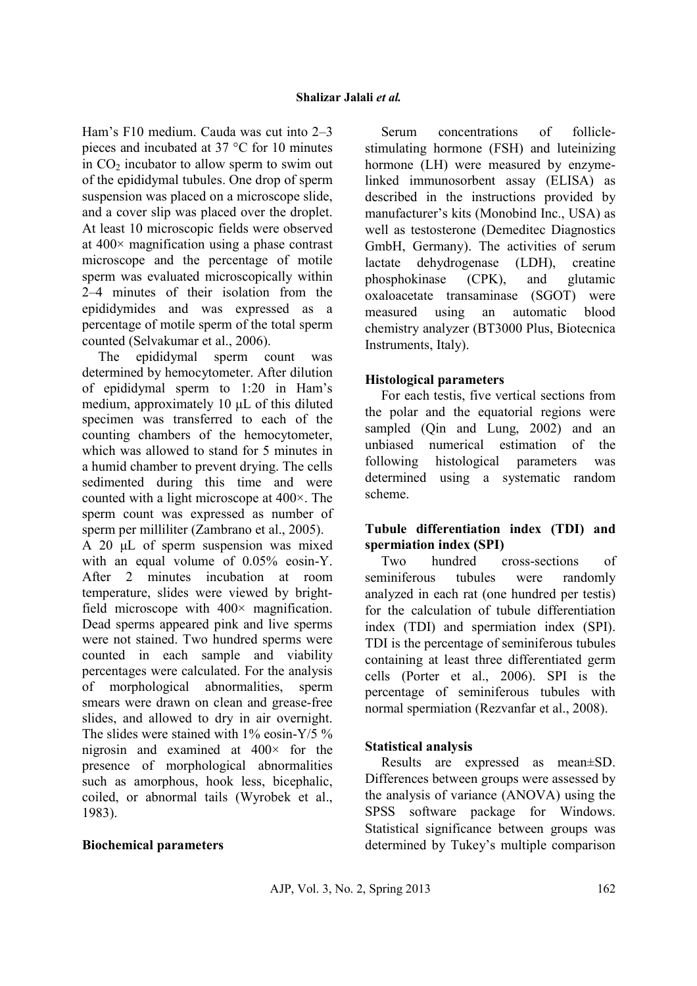Ham's F10 medium. Cauda was cut into 2–3 pieces and incubated at 37 °C for 10 minutes in  $CO<sub>2</sub>$  incubator to allow sperm to swim out of the epididymal tubules. One drop of sperm suspension was placed on a microscope slide, and a cover slip was placed over the droplet. At least 10 microscopic fields were observed at 400× magnification using a phase contrast microscope and the percentage of motile sperm was evaluated microscopically within 2–4 minutes of their isolation from the epididymides and was expressed as a percentage of motile sperm of the total sperm counted (Selvakumar et al., 2006).

The epididymal sperm count was determined by hemocytometer. After dilution of epididymal sperm to 1:20 in Ham's medium, approximately 10 µL of this diluted specimen was transferred to each of the counting chambers of the hemocytometer, which was allowed to stand for 5 minutes in a humid chamber to prevent drying. The cells sedimented during this time and were counted with a light microscope at 400×. The sperm count was expressed as number of sperm per milliliter (Zambrano et al., 2005).

A 20 µL of sperm suspension was mixed with an equal volume of  $0.05\%$  eosin-Y. After 2 minutes incubation at room temperature, slides were viewed by brightfield microscope with  $400 \times$  magnification. Dead sperms appeared pink and live sperms were not stained. Two hundred sperms were counted in each sample and viability percentages were calculated. For the analysis of morphological abnormalities, sperm smears were drawn on clean and grease-free slides, and allowed to dry in air overnight. The slides were stained with  $1\%$  eosin-Y/5  $\%$ nigrosin and examined at 400× for the presence of morphological abnormalities such as amorphous, hook less, bicephalic, coiled, or abnormal tails (Wyrobek et al., 1983).

## **Biochemical parameters**

Serum concentrations of folliclestimulating hormone (FSH) and luteinizing hormone (LH) were measured by enzymelinked immunosorbent assay (ELISA) as described in the instructions provided by manufacturer's kits (Monobind Inc., USA) as well as testosterone (Demeditec Diagnostics GmbH, Germany). The activities of serum lactate dehydrogenase (LDH), creatine phosphokinase (CPK), and glutamic oxaloacetate transaminase (SGOT) were measured using an automatic blood chemistry analyzer (BT3000 Plus, Biotecnica Instruments, Italy).

## **Histological parameters**

For each testis, five vertical sections from the polar and the equatorial regions were sampled (Qin and Lung, 2002) and an unbiased numerical estimation of the following histological parameters was determined using a systematic random scheme.

## **Tubule differentiation index (TDI) and spermiation index (SPI)**

Two hundred cross-sections of seminiferous tubules were randomly analyzed in each rat (one hundred per testis) for the calculation of tubule differentiation index (TDI) and spermiation index (SPI). TDI is the percentage of seminiferous tubules containing at least three differentiated germ cells (Porter et al., 2006). SPI is the percentage of seminiferous tubules with normal spermiation (Rezvanfar et al., 2008).

## **Statistical analysis**

Results are expressed as mean±SD. Differences between groups were assessed by the analysis of variance (ANOVA) using the SPSS software package for Windows. Statistical significance between groups was determined by Tukey's multiple comparison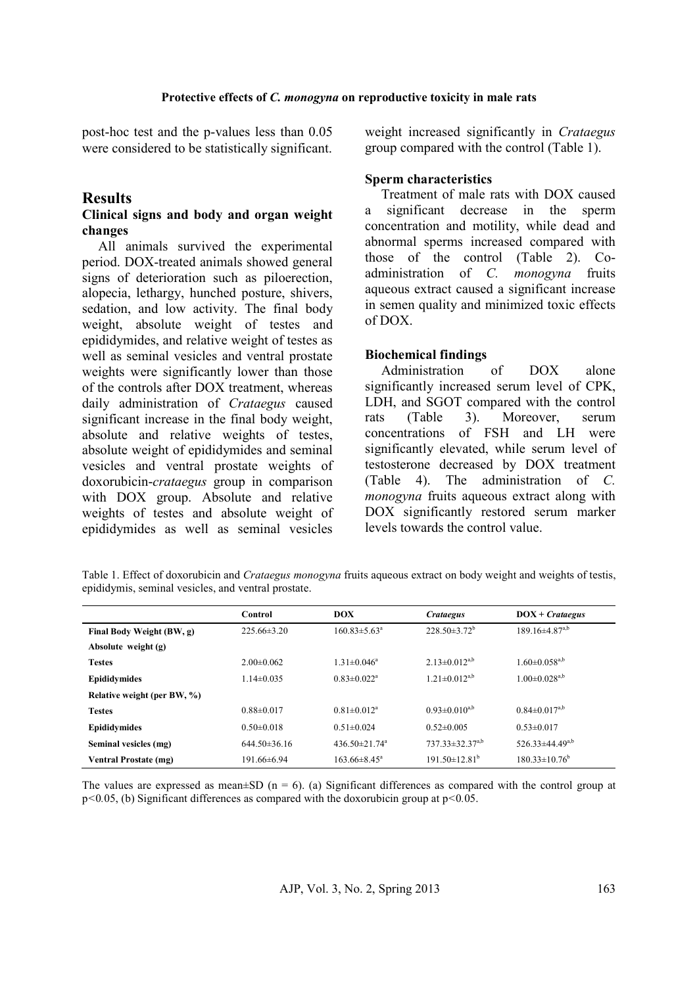post-hoc test and the p-values less than 0.05 were considered to be statistically significant.

## **Results**

### **Clinical signs and body and organ weight changes**

All animals survived the experimental period. DOX-treated animals showed general signs of deterioration such as piloerection, alopecia, lethargy, hunched posture, shivers, sedation, and low activity. The final body weight, absolute weight of testes and epididymides, and relative weight of testes as well as seminal vesicles and ventral prostate weights were significantly lower than those of the controls after DOX treatment, whereas daily administration of *Crataegus* caused significant increase in the final body weight, absolute and relative weights of testes, absolute weight of epididymides and seminal vesicles and ventral prostate weights of doxorubicin-*crataegus* group in comparison with DOX group. Absolute and relative weights of testes and absolute weight of epididymides as well as seminal vesicles

weight increased significantly in *Crataegus*  group compared with the control (Table 1).

## **Sperm characteristics**

Treatment of male rats with DOX caused a significant decrease in the sperm concentration and motility, while dead and abnormal sperms increased compared with those of the control (Table 2). Coadministration of *C. monogyna* fruits aqueous extract caused a significant increase in semen quality and minimized toxic effects of DOX.

## **Biochemical findings**

Administration of DOX alone significantly increased serum level of CPK, LDH, and SGOT compared with the control rats (Table 3). Moreover, serum concentrations of FSH and LH were significantly elevated, while serum level of testosterone decreased by DOX treatment (Table 4). The administration of *C. monogyna* fruits aqueous extract along with DOX significantly restored serum marker levels towards the control value.

| Table 1. Effect of doxorubicin and Crataegus monogyna fruits aqueous extract on body weight and weights of testis, |  |  |
|--------------------------------------------------------------------------------------------------------------------|--|--|
| epididymis, seminal vesicles, and ventral prostate.                                                                |  |  |

|                              | Control          | <b>DOX</b>                      | <b>Crataegus</b>              | $DOX + Crataegus$               |
|------------------------------|------------------|---------------------------------|-------------------------------|---------------------------------|
| Final Body Weight (BW, g)    | $225.66\pm3.20$  | $160.83 \pm 5.63^a$             | $228.50 \pm 3.72^b$           | $189.16\pm4.87^{a,b}$           |
| Absolute weight (g)          |                  |                                 |                               |                                 |
| <b>Testes</b>                | $2.00\pm0.062$   | $1.31 \pm 0.046^a$              | $2.13 \pm 0.012^{a,b}$        | $1.60 \pm 0.058$ <sup>a,b</sup> |
| <b>Epididymides</b>          | $1.14 \pm 0.035$ | $0.83 \pm 0.022$ <sup>a</sup>   | $1.21 \pm 0.012^{a,b}$        | $1.00 \pm 0.028^{a,b}$          |
| Relative weight (per BW, %)  |                  |                                 |                               |                                 |
| <b>Testes</b>                | $0.88 \pm 0.017$ | $0.81 \pm 0.012$ <sup>a</sup>   | $0.93 \pm 0.010^{a,b}$        | $0.84 \pm 0.017^{a,b}$          |
| <b>Epididymides</b>          | $0.50 \pm 0.018$ | $0.51 \pm 0.024$                | $0.52 \pm 0.005$              | $0.53 \pm 0.017$                |
| Seminal vesicles (mg)        | $644.50\pm36.16$ | 436.50 $\pm$ 21.74 <sup>a</sup> | $737.33 \pm 32.37^{a,b}$      | $526.33\pm44.49^{a,b}$          |
| <b>Ventral Prostate (mg)</b> | 191.66±6.94      | $163.66 \pm 8.45^a$             | $191.50\pm12.81^{\mathrm{b}}$ | $180.33 \pm 10.76^b$            |

The values are expressed as mean $\pm SD$  (n = 6). (a) Significant differences as compared with the control group at p*<*0*.*05, (b) Significant differences as compared with the doxorubicin group at p*<*0*.*05.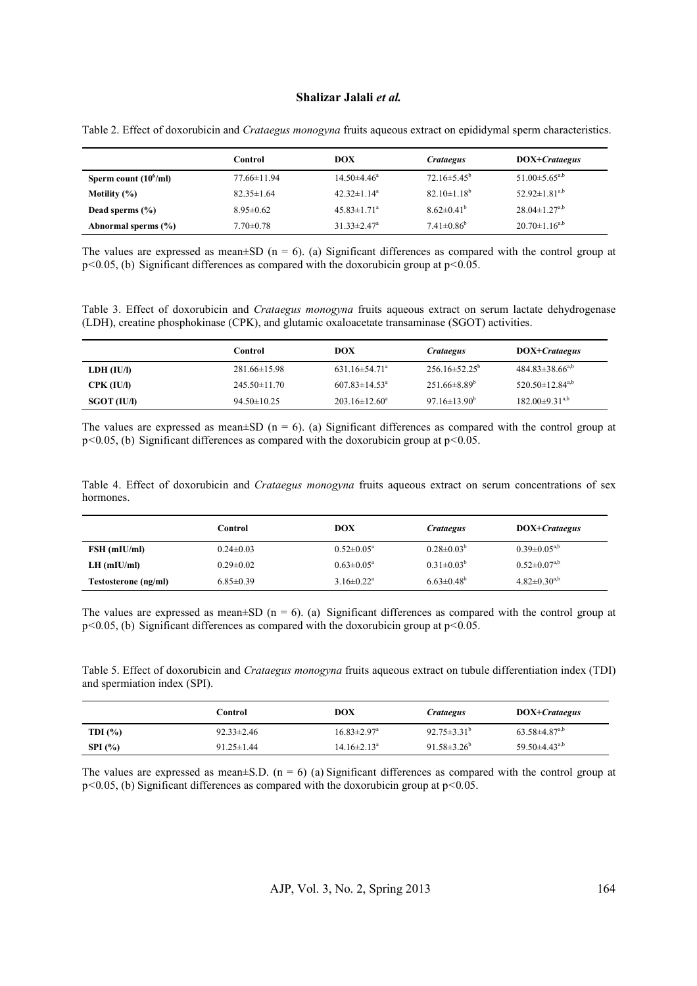#### **Shalizar Jalali** *et al.*

|                          | Control          | DOX                           | Crataegus              | DOX+ <i>Crataegus</i>           |
|--------------------------|------------------|-------------------------------|------------------------|---------------------------------|
| Sperm count $(10^6$ /ml) | 77.66±11.94      | $14.50 \pm 4.46^a$            | $72.16\pm5.45^{\circ}$ | $51.00 \pm 5.65^{a,b}$          |
| Motility $(\% )$         | $82.35 \pm 1.64$ | $42.32 \pm 1.14^a$            | $82.10 \pm 1.18^b$     | 52.92 $\pm$ 1.81 <sup>a,b</sup> |
| Dead sperms $(\% )$      | $8.95 \pm 0.62$  | $45.83 \pm 1.71$ <sup>a</sup> | $8.62 \pm 0.41^b$      | $28.04 \pm 1.27^{a,b}$          |
| Abnormal sperms (%)      | $7.70 \pm 0.78$  | $31.33 \pm 2.47$ <sup>a</sup> | $7.41 \pm 0.86^b$      | $20.70 \pm 1.16^{a,b}$          |

Table 2. Effect of doxorubicin and *Crataegus monogyna* fruits aqueous extract on epididymal sperm characteristics.

The values are expressed as mean $\pm SD$  (n = 6). (a) Significant differences as compared with the control group at p*<*0*.*05, (b) Significant differences as compared with the doxorubicin group at p*<*0*.*05.

Table 3. Effect of doxorubicin and *Crataegus monogyna* fruits aqueous extract on serum lactate dehydrogenase (LDH), creatine phosphokinase (CPK), and glutamic oxaloacetate transaminase (SGOT) activities.

|             | Control            | DOX                             | <i>Crataegus</i>          | DOX+ <i>Crataegus</i>             |
|-------------|--------------------|---------------------------------|---------------------------|-----------------------------------|
| LDH (IU/I)  | $281.66 \pm 15.98$ | $631.16 \pm 54.71$ <sup>a</sup> | $256.16\pm52.25^{\circ}$  | $484.83\pm38.66^{a,b}$            |
| CPK (IU/I)  | $245.50 \pm 11.70$ | $607.83 \pm 14.53$ <sup>a</sup> | $251.66\pm8.89^b$         | 520.50 $\pm$ 12.84 <sup>a,b</sup> |
| SGOT (IU/I) | $94.50 \pm 10.25$  | $203.16 \pm 12.60^a$            | $97.16 \pm 13.90^{\circ}$ | $182.00\pm9.31^{a,b}$             |

The values are expressed as mean $\pm SD$  (n = 6). (a) Significant differences as compared with the control group at p*<*0*.*05, (b) Significant differences as compared with the doxorubicin group at p*<*0*.*05.

Table 4. Effect of doxorubicin and *Crataegus monogyna* fruits aqueous extract on serum concentrations of sex hormones.

|                      | Control         | DOX                          | Crataegus                    | DOX+ <i>Crataegus</i> |
|----------------------|-----------------|------------------------------|------------------------------|-----------------------|
| FSH (mIU/ml)         | $0.24 \pm 0.03$ | $0.52 \pm 0.05^{\text{a}}$   | $0.28 \pm 0.03^b$            | $0.39 \pm 0.05^{a,b}$ |
| $LH$ (mIU/ml)        | $0.29 \pm 0.02$ | $0.63 \pm 0.05^{\circ}$      | $0.31 \pm 0.03^{b}$          | $0.52 \pm 0.07^{a,b}$ |
| Testosterone (ng/ml) | $6.85 \pm 0.39$ | $3.16 \pm 0.22$ <sup>a</sup> | $6.63 \pm 0.48$ <sup>b</sup> | $4.82 \pm 0.30^{a,b}$ |

The values are expressed as mean $\pm$ SD (n = 6). (a) Significant differences as compared with the control group at p*<*0*.*05, (b) Significant differences as compared with the doxorubicin group at p*<*0*.*05.

Table 5. Effect of doxorubicin and *Crataegus monogyna* fruits aqueous extract on tubule differentiation index (TDI) and spermiation index (SPI).

|              | Control          | DOX                           | Crataegus                     | DOX+ <i>Crataegus</i>           |
|--------------|------------------|-------------------------------|-------------------------------|---------------------------------|
| TDI $(\% )$  | $92.33 \pm 2.46$ | $16.83 \pm 2.97$ <sup>a</sup> | $92.75 \pm 3.31^{\mathrm{b}}$ | $63.58\pm4.87^{a,b}$            |
| $SPI$ $(\%)$ | $91.25 \pm 1.44$ | $14.16 \pm 2.13^a$            | 91.58 $\pm$ 3.26 <sup>b</sup> | 59.50 $\pm$ 4.43 <sup>a,b</sup> |

The values are expressed as mean $\pm$ S.D. (n = 6) (a) Significant differences as compared with the control group at p*<*0*.*05, (b) Significant differences as compared with the doxorubicin group at p*<*0*.*05.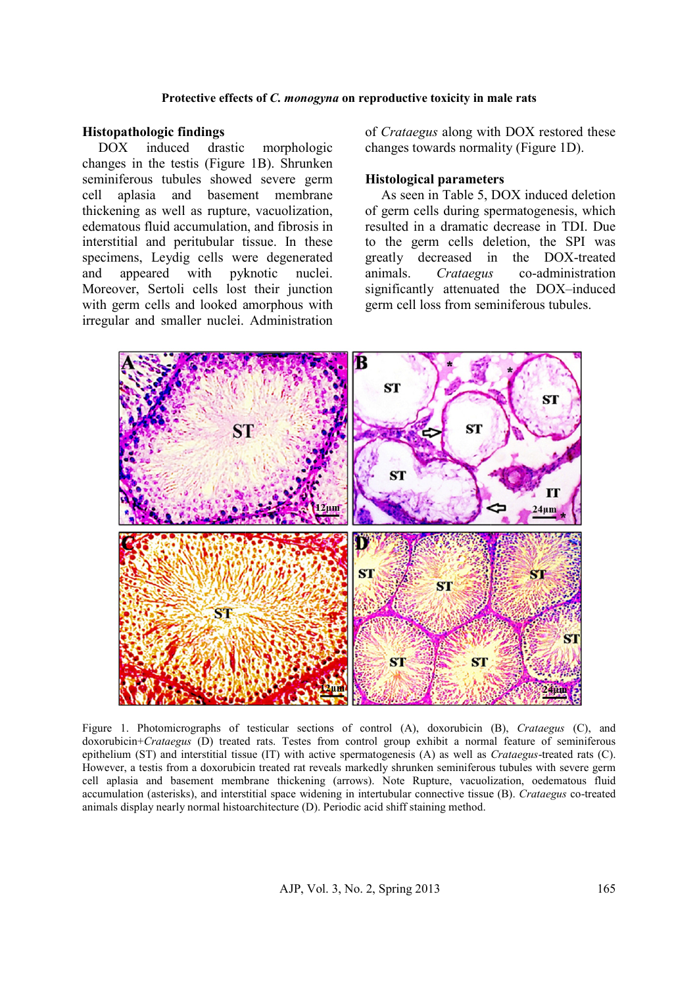#### Protective effects of *C. monogyna* on reproductive toxicity in male rats

## **Histopathologic findings**

DOX induced drastic morphologic changes in the testis (Figure 1B). Shrunken seminiferous tubules showed severe germ cell aplasia and basement membrane thickening as well as rupture, vacuolization, edematous fluid accumulation, and fibrosis in interstitial and peritubular tissue. In these specimens, Leydig cells were degenerated and appeared with pyknotic nuclei. Moreover, Sertoli cells lost their junction with germ cells and looked amorphous with irregular and smaller nuclei. Administration

changes towards normality (Fig (Figure 1D).

#### **Histological parameters**

of *Crataegus* along with DOX restored these<br>
morphologic<br>
B). Shrunken<br>
severe germ<br> **Histological parameters**<br>
t membrane<br>
As seen in Table 5, DOX induced deletion<br>
vacuolization, of germ cells during spermatogenesis, wh As seen in Table 5, DOX induced deletion of germ cells during spermatogenesis, which resulted in a dramatic decrease in TDI. Due to the germ cells deletion, the SPI was greatly decreased in the DOX animals. *Crataegus* significantly attenuated the DOX-induced germ cell loss from seminiferous tubules. germ cells during spermatogenesis, which<br>ulted in a dramatic decrease in TDI. Due<br>the germ cells deletion, the SPI was<br>atly decreased in the DOX-treated co-administration



Figure 1. Photomicrographs of testicular sections of control (A), doxorubicin (B), *Crataegus* (C), and doxorubicin+*Crataegus* (D) treated rats. Testes from control group exhibit a normal feature of seminiferous epithelium (ST) and interstitial tissue (IT) with active spermatogenesis (A) as well as *Crataegus*-treated rats (C). However, a testis from a doxorubicin treated rat reveals markedly shrunken seminiferous tubules with severe germ cell aplasia and basement membrane thickening (arrows). Note Rupture, vacuolization, oedematous fluid accumulation (asterisks), and interstitial space widening in intertubular *Crataegus* co-treated animals display nearly normal histoarchitecture (D). Periodic acid shiff staining method. h+*Crataegus* (D) treated rats. Testes from control group exhibit a normal feature of s (ST) and interstitial tissue (IT) with active spermatogenesis (A) as well as *Crataegus*-trea testis from a doxorubicin treated rat re markedly

AJP, Vol. 3, No. 2, Spring 2013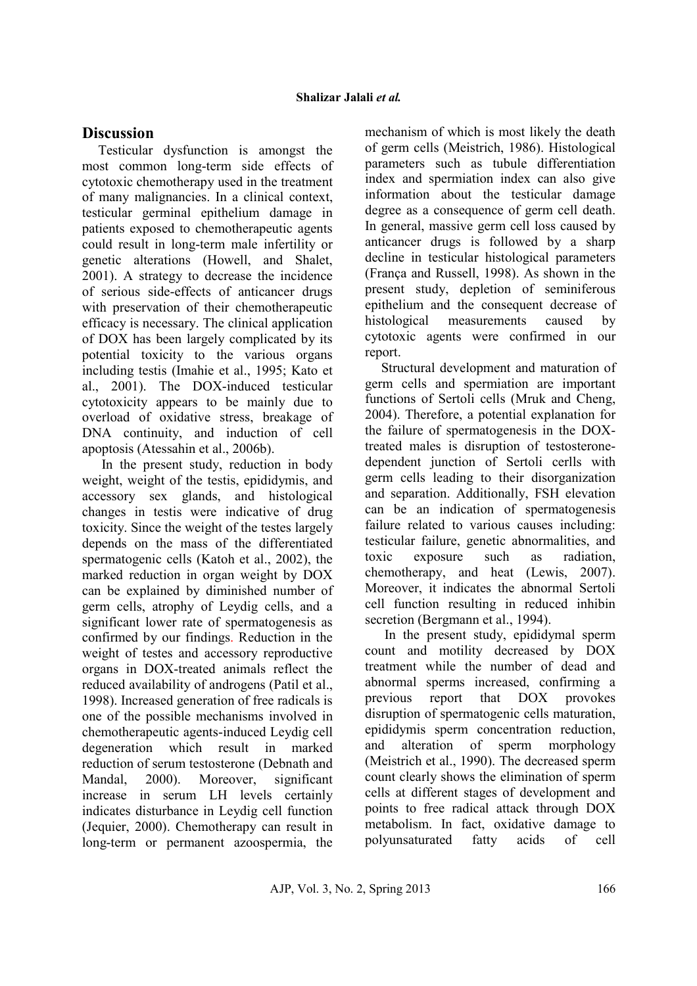# **Discussion**

Testicular dysfunction is amongst the most common long-term side effects of cytotoxic chemotherapy used in the treatment of many malignancies. In a clinical context, testicular germinal epithelium damage in patients exposed to chemotherapeutic agents could result in long-term male infertility or genetic alterations (Howell, and Shalet, 2001). A strategy to decrease the incidence of serious side-effects of anticancer drugs with preservation of their chemotherapeutic efficacy is necessary. The clinical application of DOX has been largely complicated by its potential toxicity to the various organs including testis (Imahie et al., 1995; Kato et al., 2001). The DOX-induced testicular cytotoxicity appears to be mainly due to overload of oxidative stress, breakage of DNA continuity, and induction of cell apoptosis (Atessahin et al., 2006b).

 In the present study, reduction in body weight, weight of the testis, epididymis, and accessory sex glands, and histological changes in testis were indicative of drug toxicity. Since the weight of the testes largely depends on the mass of the differentiated spermatogenic cells (Katoh et al., 2002), the marked reduction in organ weight by DOX can be explained by diminished number of germ cells, atrophy of Leydig cells, and a significant lower rate of spermatogenesis as confirmed by our findings. Reduction in the weight of testes and accessory reproductive organs in DOX-treated animals reflect the reduced availability of androgens (Patil et al., 1998). Increased generation of free radicals is one of the possible mechanisms involved in chemotherapeutic agents-induced Leydig cell degeneration which result in marked reduction of serum testosterone (Debnath and Mandal, 2000). Moreover, significant increase in serum LH levels certainly indicates disturbance in Leydig cell function (Jequier, 2000). Chemotherapy can result in long-term or permanent azoospermia, the

mechanism of which is most likely the death of germ cells (Meistrich, 1986). Histological parameters such as tubule differentiation index and spermiation index can also give information about the testicular damage degree as a consequence of germ cell death. In general, massive germ cell loss caused by anticancer drugs is followed by a sharp decline in testicular histological parameters (França and Russell, 1998). As shown in the present study, depletion of seminiferous epithelium and the consequent decrease of histological measurements caused by cytotoxic agents were confirmed in our report.

Structural development and maturation of germ cells and spermiation are important functions of Sertoli cells (Mruk and Cheng, 2004). Therefore, a potential explanation for the failure of spermatogenesis in the DOXtreated males is disruption of testosteronedependent junction of Sertoli cerlls with germ cells leading to their disorganization and separation. Additionally, FSH elevation can be an indication of spermatogenesis failure related to various causes including: testicular failure, genetic abnormalities, and toxic exposure such as radiation, chemotherapy, and heat (Lewis, 2007). Moreover, it indicates the abnormal Sertoli cell function resulting in reduced inhibin secretion (Bergmann et al., 1994).

In the present study, epididymal sperm count and motility decreased by DOX treatment while the number of dead and abnormal sperms increased, confirming a previous report that DOX provokes disruption of spermatogenic cells maturation, epididymis sperm concentration reduction, and alteration of sperm morphology (Meistrich et al., 1990). The decreased sperm count clearly shows the elimination of sperm cells at different stages of development and points to free radical attack through DOX metabolism. In fact, oxidative damage to polyunsaturated fatty acids of cell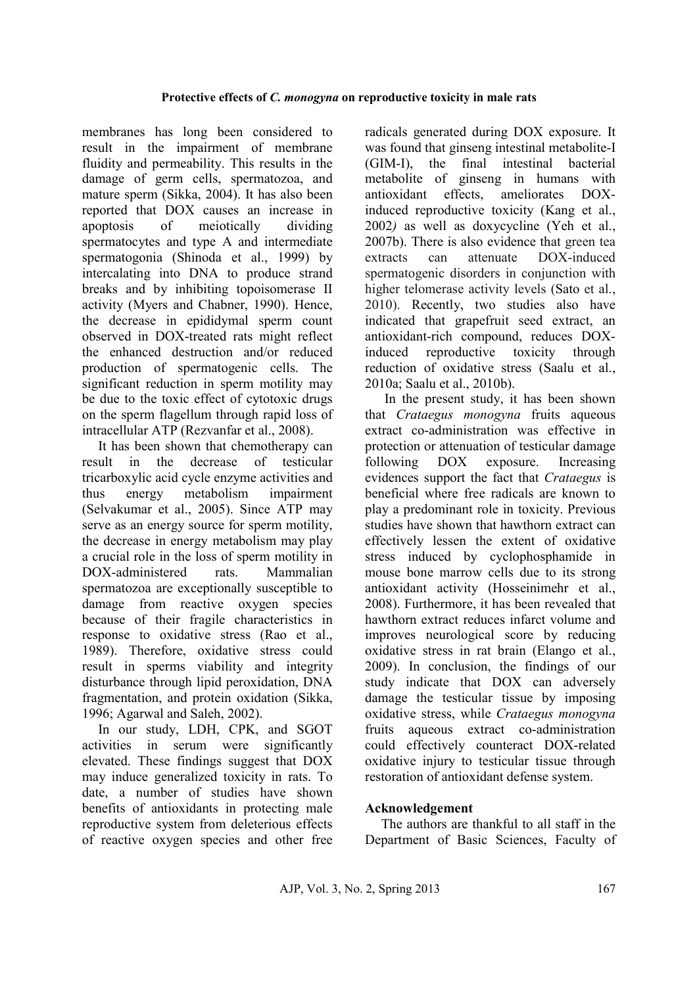membranes has long been considered to result in the impairment of membrane fluidity and permeability. This results in the damage of germ cells, spermatozoa, and mature sperm (Sikka, 2004). It has also been reported that DOX causes an increase in apoptosis of meiotically dividing spermatocytes and type A and intermediate spermatogonia (Shinoda et al., 1999) by intercalating into DNA to produce strand breaks and by inhibiting topoisomerase II activity (Myers and Chabner, 1990). Hence, the decrease in epididymal sperm count observed in DOX-treated rats might reflect the enhanced destruction and/or reduced production of spermatogenic cells. The significant reduction in sperm motility may be due to the toxic effect of cytotoxic drugs on the sperm flagellum through rapid loss of intracellular ATP (Rezvanfar et al., 2008).

It has been shown that chemotherapy can result in the decrease of testicular tricarboxylic acid cycle enzyme activities and thus energy metabolism impairment (Selvakumar et al., 2005). Since ATP may serve as an energy source for sperm motility, the decrease in energy metabolism may play a crucial role in the loss of sperm motility in DOX-administered rats Mammalian spermatozoa are exceptionally susceptible to damage from reactive oxygen species because of their fragile characteristics in response to oxidative stress (Rao et al., 1989). Therefore, oxidative stress could result in sperms viability and integrity disturbance through lipid peroxidation, DNA fragmentation, and protein oxidation (Sikka, 1996; Agarwal and Saleh, 2002).

In our study, LDH, CPK, and SGOT activities in serum were significantly elevated. These findings suggest that DOX may induce generalized toxicity in rats. To date, a number of studies have shown benefits of antioxidants in protecting male reproductive system from deleterious effects of reactive oxygen species and other free radicals generated during DOX exposure. It was found that ginseng intestinal metabolite-I (GIM-I), the final intestinal bacterial metabolite of ginseng in humans with antioxidant effects, ameliorates DOXinduced reproductive toxicity (Kang et al., 2002*)* as well as doxycycline (Yeh et al., 2007b). There is also evidence that green tea extracts can attenuate DOX-induced spermatogenic disorders in conjunction with higher telomerase activity levels (Sato et al., 2010). Recently, two studies also have indicated that grapefruit seed extract, an antioxidant-rich compound, reduces DOXinduced reproductive toxicity through reduction of oxidative stress (Saalu et al., 2010a; Saalu et al., 2010b).

In the present study, it has been shown that *Crataegus monogyna* fruits aqueous extract co-administration was effective in protection or attenuation of testicular damage following DOX exposure. Increasing evidences support the fact that *Crataegus* is beneficial where free radicals are known to play a predominant role in toxicity. Previous studies have shown that hawthorn extract can effectively lessen the extent of oxidative stress induced by cyclophosphamide in mouse bone marrow cells due to its strong antioxidant activity (Hosseinimehr et al., 2008). Furthermore, it has been revealed that hawthorn extract reduces infarct volume and improves neurological score by reducing oxidative stress in rat brain (Elango et al., 2009). In conclusion, the findings of our study indicate that DOX can adversely damage the testicular tissue by imposing oxidative stress, while *Crataegus monogyna* fruits aqueous extract co-administration could effectively counteract DOX-related oxidative injury to testicular tissue through restoration of antioxidant defense system.

# **Acknowledgement**

The authors are thankful to all staff in the Department of Basic Sciences, Faculty of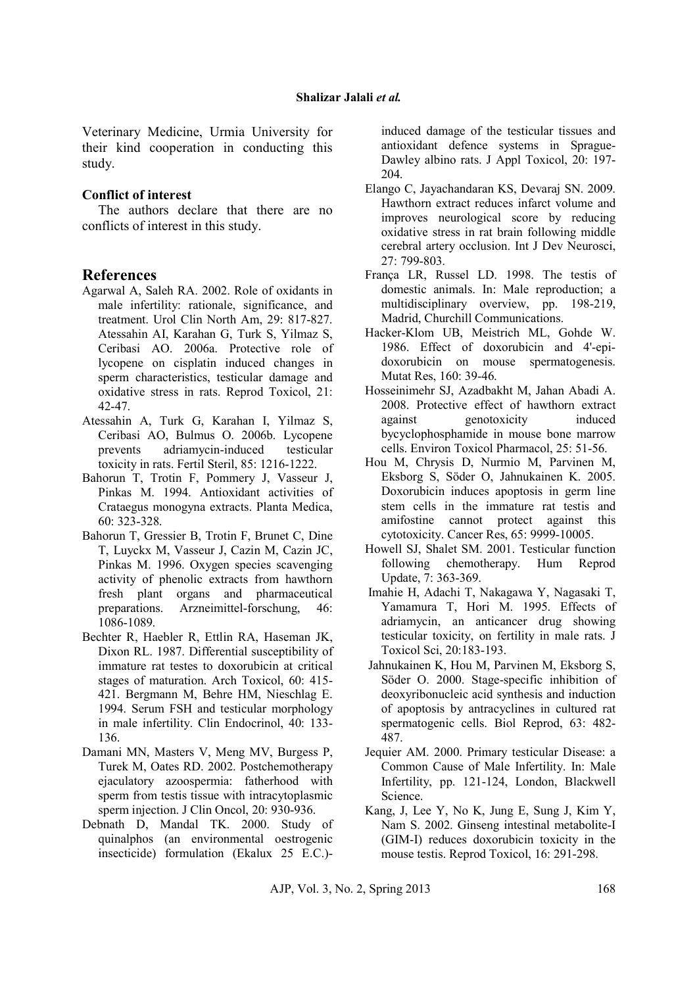Veterinary Medicine, Urmia University for their kind cooperation in conducting this study.

### **Conflict of interest**

The authors declare that there are no conflicts of interest in this study.

## **References**

- Agarwal A, Saleh RA. 2002. Role of oxidants in male infertility: rationale, significance, and treatment. Urol Clin North Am, 29: 817-827. Atessahin AI, Karahan G, Turk S, Yilmaz S, Ceribasi AO. 2006a. Protective role of lycopene on cisplatin induced changes in sperm characteristics, testicular damage and oxidative stress in rats. Reprod Toxicol, 21: 42-47.
- Atessahin A, Turk G, Karahan I, Yilmaz S, Ceribasi AO, Bulmus O. 2006b. Lycopene prevents adriamycin-induced testicular toxicity in rats. Fertil Steril, 85: 1216-1222.
- Bahorun T, Trotin F, Pommery J, Vasseur J, Pinkas M. 1994. Antioxidant activities of Crataegus monogyna extracts. Planta Medica, 60: 323-328.
- Bahorun T, Gressier B, Trotin F, Brunet C, Dine T, Luyckx M, Vasseur J, Cazin M, Cazin JC, Pinkas M. 1996. Oxygen species scavenging activity of phenolic extracts from hawthorn fresh plant organs and pharmaceutical preparations. Arzneimittel-forschung, 46: 1086-1089.
- Bechter R, Haebler R, Ettlin RA, Haseman JK, Dixon RL. 1987. Differential susceptibility of immature rat testes to doxorubicin at critical stages of maturation. Arch Toxicol, 60: 415- 421. Bergmann M, Behre HM, Nieschlag E. 1994. Serum FSH and testicular morphology in male infertility. Clin Endocrinol, 40: 133- 136.
- Damani MN, Masters V, Meng MV, Burgess P, Turek M, Oates RD. 2002. Postchemotherapy ejaculatory azoospermia: fatherhood with sperm from testis tissue with intracytoplasmic sperm injection. J Clin Oncol, 20: 930-936.
- Debnath D, Mandal TK. 2000. Study of quinalphos (an environmental oestrogenic insecticide) formulation (Ekalux 25 E.C.)-

induced damage of the testicular tissues and antioxidant defence systems in Sprague-Dawley albino rats. J Appl Toxicol, 20: 197- 204.

- Elango C, Jayachandaran KS, Devaraj SN. 2009. Hawthorn extract reduces infarct volume and improves neurological score by reducing oxidative stress in rat brain following middle cerebral artery occlusion. Int J Dev Neurosci, 27: 799-803.
- França LR, Russel LD. 1998. The testis of domestic animals. In: Male reproduction; a multidisciplinary overview, pp. 198-219, Madrid, Churchill Communications.
- Hacker-Klom UB, Meistrich ML, Gohde W. 1986. Effect of doxorubicin and 4'-epidoxorubicin on mouse spermatogenesis. Mutat Res, 160: 39-46.
- Hosseinimehr SJ, Azadbakht M, Jahan Abadi A. 2008. Protective effect of hawthorn extract against genotoxicity induced bycyclophosphamide in mouse bone marrow cells. Environ Toxicol Pharmacol, 25: 51-56.
- Hou M, Chrysis D, Nurmio M, Parvinen M, Eksborg S, Söder O, Jahnukainen K. 2005. Doxorubicin induces apoptosis in germ line stem cells in the immature rat testis and amifostine cannot protect against this cytotoxicity. Cancer Res, 65: 9999-10005.
- Howell SJ, Shalet SM. 2001. Testicular function following chemotherapy. Hum Reprod Update, 7: 363-369.
- Imahie H, Adachi T, Nakagawa Y, Nagasaki T, Yamamura T, Hori M. 1995. Effects of adriamycin, an anticancer drug showing testicular toxicity, on fertility in male rats. J Toxicol Sci, 20:183-193.
- Jahnukainen K, Hou M, Parvinen M, Eksborg S, Söder O. 2000. Stage-specific inhibition of deoxyribonucleic acid synthesis and induction of apoptosis by antracyclines in cultured rat spermatogenic cells. Biol Reprod, 63: 482- 487.
- Jequier AM. 2000. Primary testicular Disease: a Common Cause of Male Infertility. In: Male Infertility, pp. 121-124, London, Blackwell Science.
- Kang, J, Lee Y, No K, Jung E, Sung J, Kim Y, Nam S. 2002. Ginseng intestinal metabolite-I (GIM-I) reduces doxorubicin toxicity in the mouse testis. Reprod Toxicol, 16: 291-298.

AJP, Vol. 3, No. 2, Spring 2013 168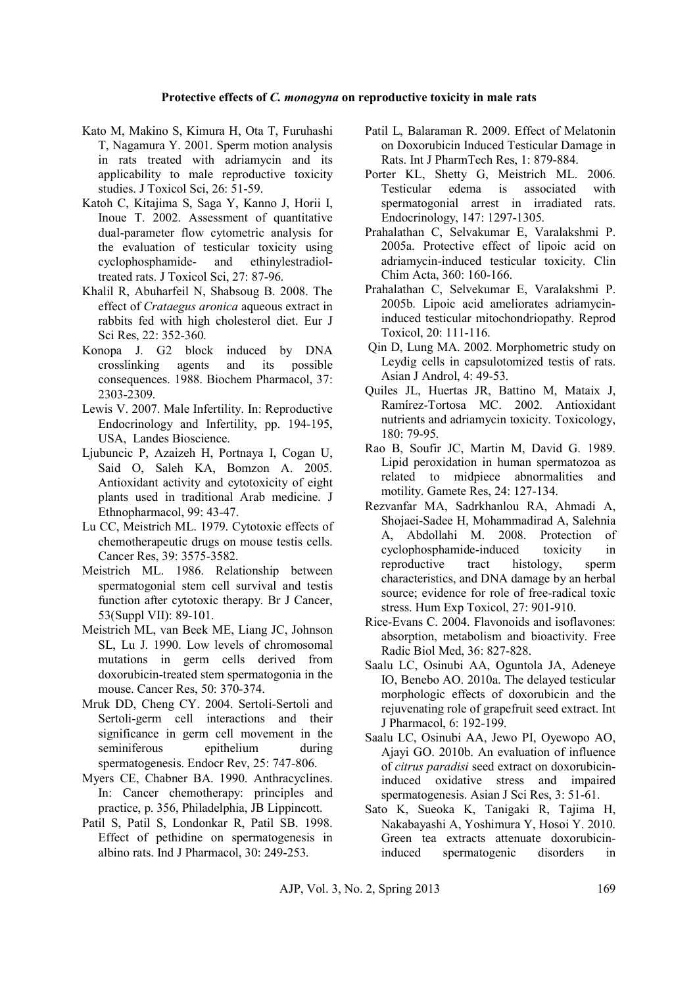#### **Protective effects of** *C. monogyna* **on reproductive toxicity in male rats**

- Kato M, Makino S, Kimura H, Ota T, Furuhashi T, Nagamura Y. 2001. Sperm motion analysis in rats treated with adriamycin and its applicability to male reproductive toxicity studies. J Toxicol Sci, 26: 51-59.
- Katoh C, Kitajima S, Saga Y, Kanno J, Horii I, Inoue T. 2002. Assessment of quantitative dual-parameter flow cytometric analysis for the evaluation of testicular toxicity using cyclophosphamide- and ethinylestradioltreated rats. J Toxicol Sci, 27: 87-96.
- Khalil R, Abuharfeil N, Shabsoug B. 2008. The effect of *Crataegus aronica* aqueous extract in rabbits fed with high cholesterol diet. Eur J Sci Res, 22: 352-360.
- Konopa J. G2 block induced by DNA crosslinking agents and its possible consequences. 1988. Biochem Pharmacol, 37: 2303-2309.
- Lewis V. 2007. Male Infertility. In: Reproductive Endocrinology and Infertility, pp. 194-195, USA, Landes Bioscience.
- Ljubuncic P, Azaizeh H, Portnaya I, Cogan U, Said O, Saleh KA, Bomzon A. 2005. Antioxidant activity and cytotoxicity of eight plants used in traditional Arab medicine. J Ethnopharmacol, 99: 43-47.
- Lu CC, Meistrich ML. 1979. Cytotoxic effects of chemotherapeutic drugs on mouse testis cells. Cancer Res, 39: 3575-3582.
- Meistrich ML. 1986. Relationship between spermatogonial stem cell survival and testis function after cytotoxic therapy. Br J Cancer, 53(Suppl VII): 89-101.
- Meistrich ML, van Beek ME, Liang JC, Johnson SL, Lu J. 1990. Low levels of chromosomal mutations in germ cells derived from doxorubicin-treated stem spermatogonia in the mouse. Cancer Res, 50: 370-374.
- Mruk DD, Cheng CY. 2004. Sertoli-Sertoli and Sertoli-germ cell interactions and their significance in germ cell movement in the seminiferous epithelium during spermatogenesis. Endocr Rev, 25: 747-806.
- Myers CE, Chabner BA. 1990. Anthracyclines. In: Cancer chemotherapy: principles and practice, p. 356, Philadelphia, JB Lippincott.
- Patil S, Patil S, Londonkar R, Patil SB. 1998. Effect of pethidine on spermatogenesis in albino rats. Ind J Pharmacol, 30: 249-253.
- Patil L, Balaraman R. 2009. Effect of Melatonin on Doxorubicin Induced Testicular Damage in Rats. Int J PharmTech Res, 1: 879-884.
- Porter KL, Shetty G, Meistrich ML. 2006. Testicular edema is associated with spermatogonial arrest in irradiated rats. Endocrinology, 147: 1297-1305.
- Prahalathan C, Selvakumar E, Varalakshmi P. 2005a. Protective effect of lipoic acid on adriamycin-induced testicular toxicity. Clin Chim Acta, 360: 160-166.
- Prahalathan C, Selvekumar E, Varalakshmi P. 2005b. Lipoic acid ameliorates adriamycininduced testicular mitochondriopathy. Reprod Toxicol, 20: 111-116.
- Qin D, Lung MA. 2002. Morphometric study on Leydig cells in capsulotomized testis of rats. Asian J Androl, 4: 49-53.
- Quiles JL, Huertas JR, Battino M, Mataix J, Ramírez-Tortosa MC. 2002. Antioxidant nutrients and adriamycin toxicity. Toxicology, 180: 79-95.
- Rao B, Soufir JC, Martin M, David G. 1989. Lipid peroxidation in human spermatozoa as related to midpiece abnormalities and motility. Gamete Res, 24: 127-134.
- Rezvanfar MA, Sadrkhanlou RA, Ahmadi A, Shojaei-Sadee H, Mohammadirad A, Salehnia A, Abdollahi M. 2008. Protection of cyclophosphamide-induced toxicity in reproductive tract histology, sperm characteristics, and DNA damage by an herbal source; evidence for role of free-radical toxic stress. Hum Exp Toxicol, 27: 901-910.
- Rice-Evans C. 2004. Flavonoids and isoflavones: absorption, metabolism and bioactivity. Free Radic Biol Med, 36: 827-828.
- Saalu LC, Osinubi AA, Oguntola JA, Adeneye IO, Benebo AO. 2010a. The delayed testicular morphologic effects of doxorubicin and the rejuvenating role of grapefruit seed extract. Int J Pharmacol, 6: 192-199.
- Saalu LC, Osinubi AA, Jewo PI, Oyewopo AO, Ajayi GO. 2010b. An evaluation of influence of *citrus paradisi* seed extract on doxorubicininduced oxidative stress and impaired spermatogenesis. Asian J Sci Res, 3: 51-61.
- Sato K, Sueoka K, Tanigaki R, Tajima H, Nakabayashi A, Yoshimura Y, Hosoi Y. 2010. Green tea extracts attenuate doxorubicininduced spermatogenic disorders in

AJP, Vol. 3, No. 2, Spring 2013 169